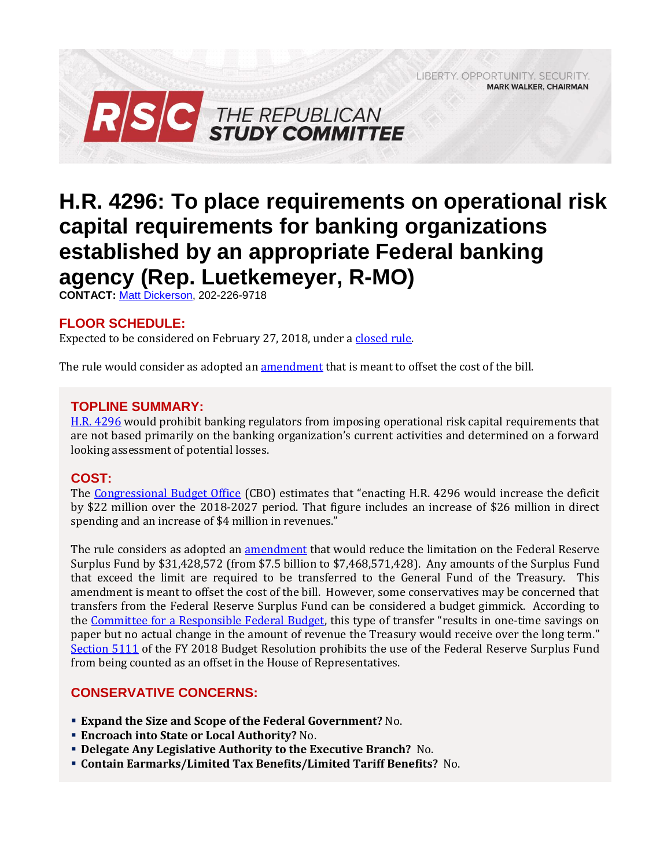LIBERTY, OPPORTUNITY, SECURITY, **MARK WALKER, CHAIRMAN** 



# **H.R. 4296: To place requirements on operational risk capital requirements for banking organizations established by an appropriate Federal banking agency (Rep. Luetkemeyer, R-MO)**

**CONTACT:** [Matt Dickerson,](mailto:Matthew.Dickerson@mail.house.gov) 202-226-9718

## **FLOOR SCHEDULE:**

Expected to be considered on February 27, 2018, under [a closed rule.](https://rules.house.gov/bill/115/hr-4296)

The rule would consider as adopted an <u>amendment</u> that is meant to offset the cost of the bill.

#### **TOPLINE SUMMARY:**

[H.R. 4296](https://rules.house.gov/sites/republicans.rules.house.gov/files/BILLS-115HR4296-RCP115-60.pdf) would prohibit banking regulators from imposing operational risk capital requirements that are not based primarily on the banking organization's current activities and determined on a forward looking assessment of potential losses.

## **COST:**

The [Congressional Budget Office](https://www.cbo.gov/system/files/115th-congress-2017-2018/costestimate/hr4296.pdf) (CBO) estimates that "enacting H.R. 4296 would increase the deficit by \$22 million over the 2018-2027 period. That figure includes an increase of \$26 million in direct spending and an increase of \$4 million in revenues."

The rule considers as adopted an [amendment](https://amendments-rules.house.gov/amendments/HR4296_FedSurplus_xml226180943574357.pdf) that would reduce the limitation on the Federal Reserve Surplus Fund by \$31,428,572 (from \$7.5 billion to \$7,468,571,428). Any amounts of the Surplus Fund that exceed the limit are required to be transferred to the General Fund of the Treasury. This amendment is meant to offset the cost of the bill. However, some conservatives may be concerned that transfers from the Federal Reserve Surplus Fund can be considered a budget gimmick. According to the [Committee for a Responsible Federal Budget](http://www.crfb.org/blogs/federal-reserve-budget-gimmick-house-transportation-bill), this type of transfer "results in one-time savings on paper but no actual change in the amount of revenue the Treasury would receive over the long term." [Section 5111](https://www.congress.gov/115/bills/hconres71/BILLS-115hconres71enr.pdf#page=45) of the FY 2018 Budget Resolution prohibits the use of the Federal Reserve Surplus Fund from being counted as an offset in the House of Representatives.

## **CONSERVATIVE CONCERNS:**

- **Expand the Size and Scope of the Federal Government?** No.
- **Encroach into State or Local Authority?** No.
- **Delegate Any Legislative Authority to the Executive Branch?** No.
- **Contain Earmarks/Limited Tax Benefits/Limited Tariff Benefits?** No.